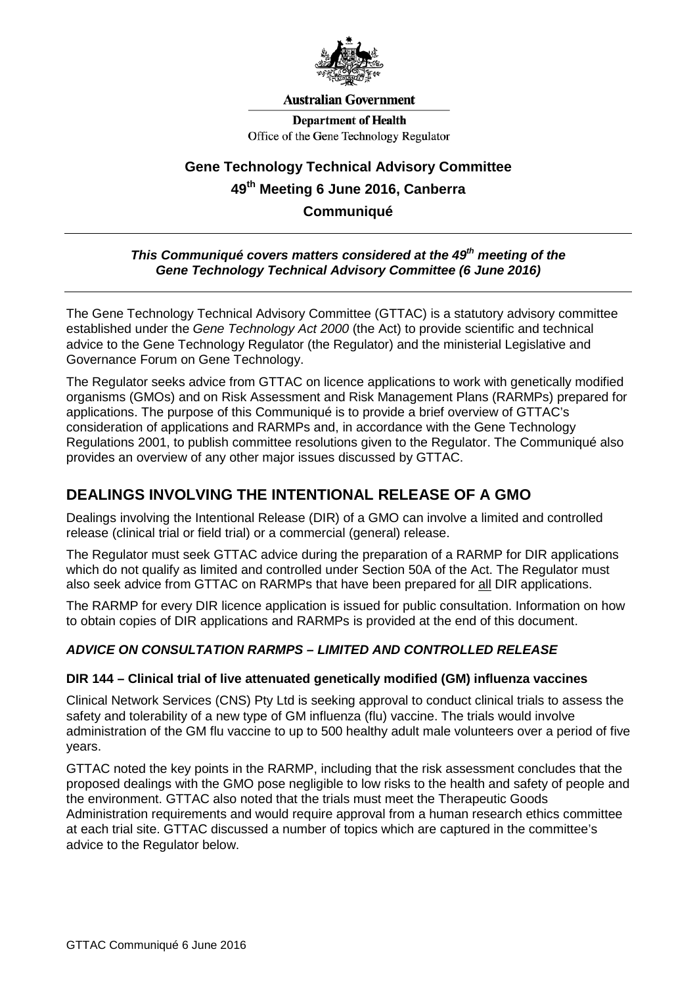

#### **Australian Government**

**Department of Health** Office of the Gene Technology Regulator

# **Gene Technology Technical Advisory Committee 49th Meeting 6 June 2016, Canberra Communiqué**

### *This Communiqué covers matters considered at the 49th meeting of the Gene Technology Technical Advisory Committee (6 June 2016)*

The Gene Technology Technical Advisory Committee (GTTAC) is a statutory advisory committee established under the *Gene Technology Act 2000* (the Act) to provide scientific and technical advice to the Gene Technology Regulator (the Regulator) and the ministerial Legislative and Governance Forum on Gene Technology.

The Regulator seeks advice from GTTAC on licence applications to work with genetically modified organisms (GMOs) and on Risk Assessment and Risk Management Plans (RARMPs) prepared for applications. The purpose of this Communiqué is to provide a brief overview of GTTAC's consideration of applications and RARMPs and, in accordance with the Gene Technology Regulations 2001, to publish committee resolutions given to the Regulator. The Communiqué also provides an overview of any other major issues discussed by GTTAC.

## **DEALINGS INVOLVING THE INTENTIONAL RELEASE OF A GMO**

Dealings involving the Intentional Release (DIR) of a GMO can involve a limited and controlled release (clinical trial or field trial) or a commercial (general) release.

The Regulator must seek GTTAC advice during the preparation of a RARMP for DIR applications which do not qualify as limited and controlled under Section 50A of the Act. The Regulator must also seek advice from GTTAC on RARMPs that have been prepared for all DIR applications.

The RARMP for every DIR licence application is issued for public consultation. Information on how to obtain copies of DIR applications and RARMPs is provided at the end of this document.

### *ADVICE ON CONSULTATION RARMPS – LIMITED AND CONTROLLED RELEASE*

### **DIR 144 – Clinical trial of live attenuated genetically modified (GM) influenza vaccines**

Clinical Network Services (CNS) Pty Ltd is seeking approval to conduct clinical trials to assess the safety and tolerability of a new type of GM influenza (flu) vaccine. The trials would involve administration of the GM flu vaccine to up to 500 healthy adult male volunteers over a period of five years.

GTTAC noted the key points in the RARMP, including that the risk assessment concludes that the proposed dealings with the GMO pose negligible to low risks to the health and safety of people and the environment. GTTAC also noted that the trials must meet the Therapeutic Goods Administration requirements and would require approval from a human research ethics committee at each trial site. GTTAC discussed a number of topics which are captured in the committee's advice to the Regulator below.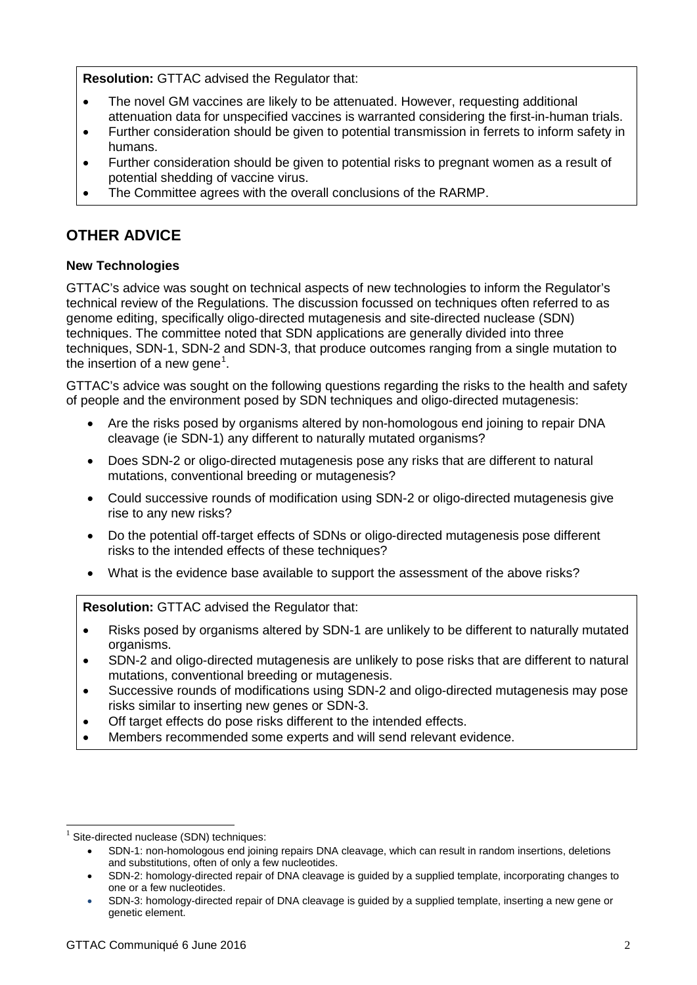**Resolution:** GTTAC advised the Regulator that:

- The novel GM vaccines are likely to be attenuated. However, requesting additional attenuation data for unspecified vaccines is warranted considering the first-in-human trials.
- Further consideration should be given to potential transmission in ferrets to inform safety in humans.
- Further consideration should be given to potential risks to pregnant women as a result of potential shedding of vaccine virus.
- The Committee agrees with the overall conclusions of the RARMP.

## **OTHER ADVICE**

### **New Technologies**

GTTAC's advice was sought on technical aspects of new technologies to inform the Regulator's technical review of the Regulations. The discussion focussed on techniques often referred to as genome editing, specifically oligo-directed mutagenesis and site-directed nuclease (SDN) techniques. The committee noted that SDN applications are generally divided into three techniques, SDN-1, SDN-2 and SDN-3, that produce outcomes ranging from a single mutation to the insertion of a new gene $^1$  $^1$ .

GTTAC's advice was sought on the following questions regarding the risks to the health and safety of people and the environment posed by SDN techniques and oligo-directed mutagenesis:

- Are the risks posed by organisms altered by non-homologous end joining to repair DNA cleavage (ie SDN-1) any different to naturally mutated organisms?
- Does SDN-2 or oligo-directed mutagenesis pose any risks that are different to natural mutations, conventional breeding or mutagenesis?
- Could successive rounds of modification using SDN-2 or oligo-directed mutagenesis give rise to any new risks?
- Do the potential off-target effects of SDNs or oligo-directed mutagenesis pose different risks to the intended effects of these techniques?
- What is the evidence base available to support the assessment of the above risks?

**Resolution:** GTTAC advised the Regulator that:

- Risks posed by organisms altered by SDN-1 are unlikely to be different to naturally mutated organisms.
- SDN-2 and oligo-directed mutagenesis are unlikely to pose risks that are different to natural mutations, conventional breeding or mutagenesis.
- Successive rounds of modifications using SDN-2 and oligo-directed mutagenesis may pose risks similar to inserting new genes or SDN-3.
- Off target effects do pose risks different to the intended effects.
- Members recommended some experts and will send relevant evidence.

-

<span id="page-1-0"></span>Site-directed nuclease (SDN) techniques:

<sup>•</sup> SDN-1: non-homologous end joining repairs DNA cleavage, which can result in random insertions, deletions and substitutions, often of only a few nucleotides.

<sup>•</sup> SDN-2: homology-directed repair of DNA cleavage is guided by a supplied template, incorporating changes to one or a few nucleotides.

<sup>•</sup> SDN-3: homology-directed repair of DNA cleavage is guided by a supplied template, inserting a new gene or genetic element.